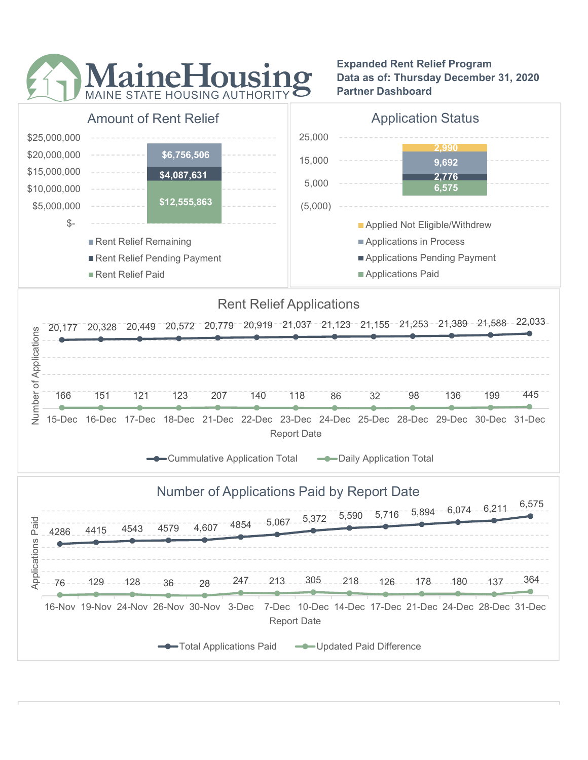

Expanded Rent Relief Program Data as of: Thursday December 31, 2020 Partner Dashboard